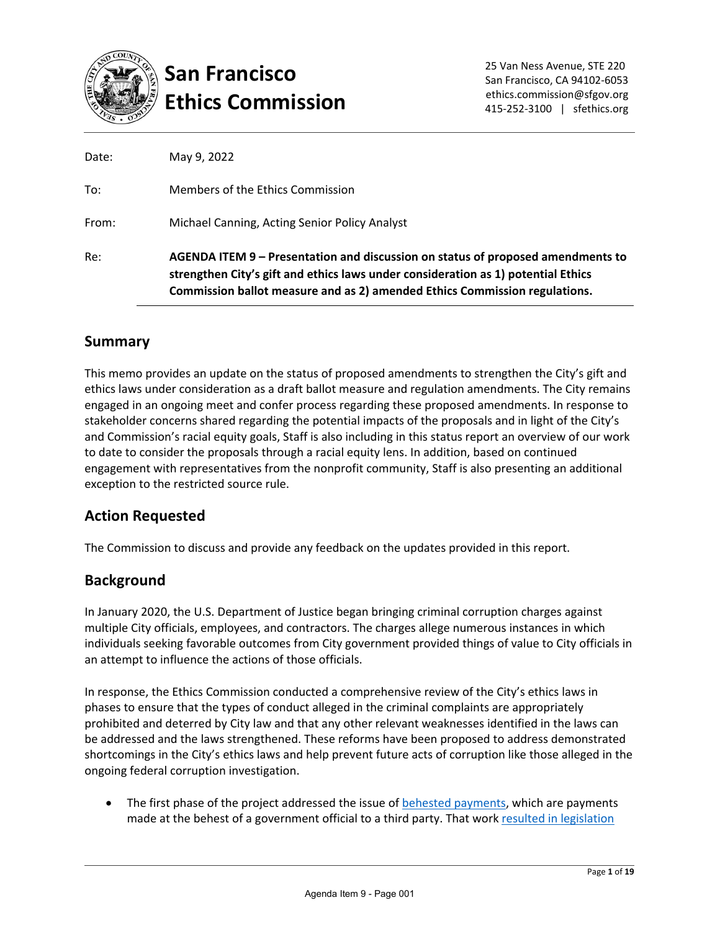

# **San Francisco Ethics Commission**

| Re:   | AGENDA ITEM 9 – Presentation and discussion on status of proposed amendments to<br>strengthen City's gift and ethics laws under consideration as 1) potential Ethics<br>Commission ballot measure and as 2) amended Ethics Commission regulations. |
|-------|----------------------------------------------------------------------------------------------------------------------------------------------------------------------------------------------------------------------------------------------------|
| From: | Michael Canning, Acting Senior Policy Analyst                                                                                                                                                                                                      |
| To:   | Members of the Ethics Commission                                                                                                                                                                                                                   |
| Date: | May 9, 2022                                                                                                                                                                                                                                        |

# **Summary**

This memo provides an update on the status of proposed amendments to strengthen the City's gift and ethics laws under consideration as a draft ballot measure and regulation amendments. The City remains engaged in an ongoing meet and confer process regarding these proposed amendments. In response to stakeholder concerns shared regarding the potential impacts of the proposals and in light of the City's and Commission's racial equity goals, Staff is also including in this status report an overview of our work to date to consider the proposals through a racial equity lens. In addition, based on continued engagement with representatives from the nonprofit community, Staff is also presenting an additional exception to the restricted source rule.

# **Action Requested**

The Commission to discuss and provide any feedback on the updates provided in this report.

# **Background**

In January 2020, the U.S. Department of Justice began bringing criminal corruption charges against multiple City officials, employees, and contractors. The charges allege numerous instances in which individuals seeking favorable outcomes from City government provided things of value to City officials in an attempt to influence the actions of those officials.

In response, the Ethics Commission conducted a comprehensive review of the City's ethics laws in phases to ensure that the types of conduct alleged in the criminal complaints are appropriately prohibited and deterred by City law and that any other relevant weaknesses identified in the laws can be addressed and the laws strengthened. These reforms have been proposed to address demonstrated shortcomings in the City's ethics laws and help prevent future acts of corruption like those alleged in the ongoing federal corruption investigation.

• The first phase of the project addressed the issue of [behested payments,](https://sfethics.org/wp-content/uploads/2020/11/2020.11.13-Agenda-Item-6-COI-Project-Memo-Phase-1-FINAL.pdf) which are payments made at the behest of a government official to a third party. That work [resulted in legislation](https://sfgov.legistar.com/LegislationDetail.aspx?ID=4655688&GUID=BDE6F90D-313E-4705-BBAB-99E1CA5138E9&Options=ID|Text|Attachments|)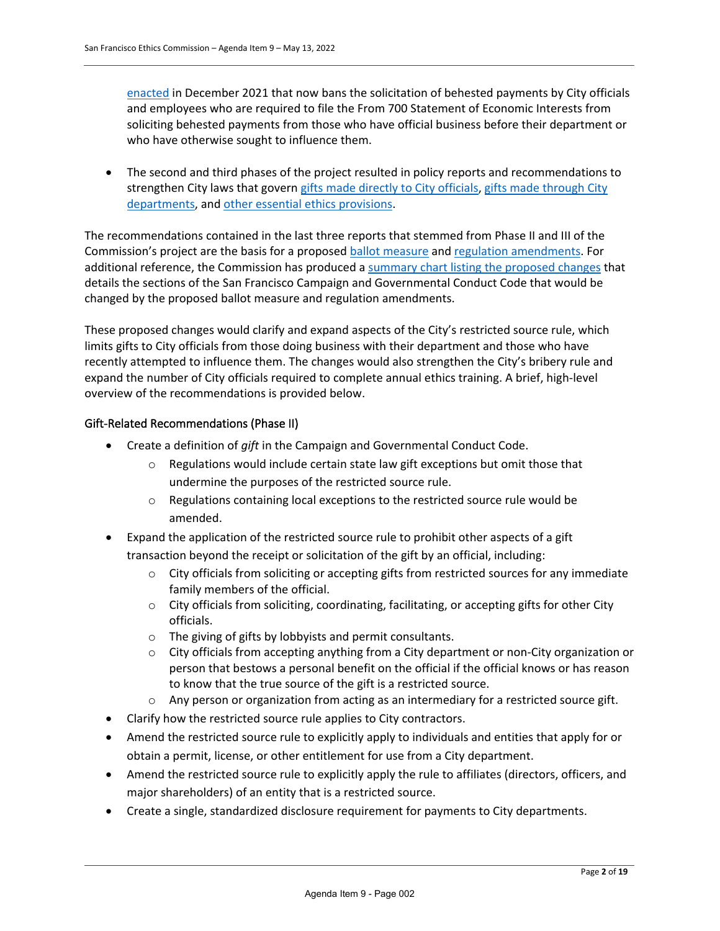[enacted](https://sfgov.legistar.com/LegislationDetail.aspx?ID=4655688&GUID=BDE6F90D-313E-4705-BBAB-99E1CA5138E9&Options=ID|Text|Attachments|) in December 2021 that now bans the solicitation of behested payments by City officials and employees who are required to file the From 700 Statement of Economic Interests from soliciting behested payments from those who have official business before their department or who have otherwise sought to influence them.

• The second and third phases of the project resulted in policy reports and recommendations to strengthen City laws that govern [gifts made directly to City officials,](https://sfethics.org/ethics/2021/08/report-on-gift-laws-gifts-to-individuals-executive-summary.html) [gifts made through City](https://sfethics.org/ethics/2021/09/gifts-to-city-departments-from-restricted-sources-lack-sufficient-public-transparency-and-create-opportunities-for-undue-influence.html)  [departments,](https://sfethics.org/ethics/2021/09/gifts-to-city-departments-from-restricted-sources-lack-sufficient-public-transparency-and-create-opportunities-for-undue-influence.html) and [other essential ethics provisions.](https://sfethics.org/ethics/2021/12/report-on-strengthening-essential-ethics-provisions-executive-summary.html)

The recommendations contained in the last three reports that stemmed from Phase II and III of the Commission's project are the basis for a proposed [ballot measure](https://sfethics.org/wp-content/uploads/2022/02/Draft-Ordinance-2.14.22.pdf) an[d regulation amendments.](https://sfethics.org/wp-content/uploads/2022/02/Draft-Regulations-2.14.22.pdf) For additional reference, the Commission has produced a [summary chart listing the proposed changes](https://sfethics.org/wp-content/uploads/2022/02/Ethics-Reforms-Summary-Chart.pdf) that details the sections of the San Francisco Campaign and Governmental Conduct Code that would be changed by the proposed ballot measure and regulation amendments.

These proposed changes would clarify and expand aspects of the City's restricted source rule, which limits gifts to City officials from those doing business with their department and those who have recently attempted to influence them. The changes would also strengthen the City's bribery rule and expand the number of City officials required to complete annual ethics training. A brief, high-level overview of the recommendations is provided below.

#### Gift-Related Recommendations (Phase II)

- Create a definition of *gift* in the Campaign and Governmental Conduct Code.
	- $\circ$  Regulations would include certain state law gift exceptions but omit those that undermine the purposes of the restricted source rule.
	- $\circ$  Regulations containing local exceptions to the restricted source rule would be amended.
- Expand the application of the restricted source rule to prohibit other aspects of a gift transaction beyond the receipt or solicitation of the gift by an official, including:
	- o City officials from soliciting or accepting gifts from restricted sources for any immediate family members of the official.
	- $\circ$  City officials from soliciting, coordinating, facilitating, or accepting gifts for other City officials.
	- o The giving of gifts by lobbyists and permit consultants.
	- o City officials from accepting anything from a City department or non-City organization or person that bestows a personal benefit on the official if the official knows or has reason to know that the true source of the gift is a restricted source.
	- $\circ$  Any person or organization from acting as an intermediary for a restricted source gift.
- Clarify how the restricted source rule applies to City contractors.
- Amend the restricted source rule to explicitly apply to individuals and entities that apply for or obtain a permit, license, or other entitlement for use from a City department.
- Amend the restricted source rule to explicitly apply the rule to affiliates (directors, officers, and major shareholders) of an entity that is a restricted source.
- Create a single, standardized disclosure requirement for payments to City departments.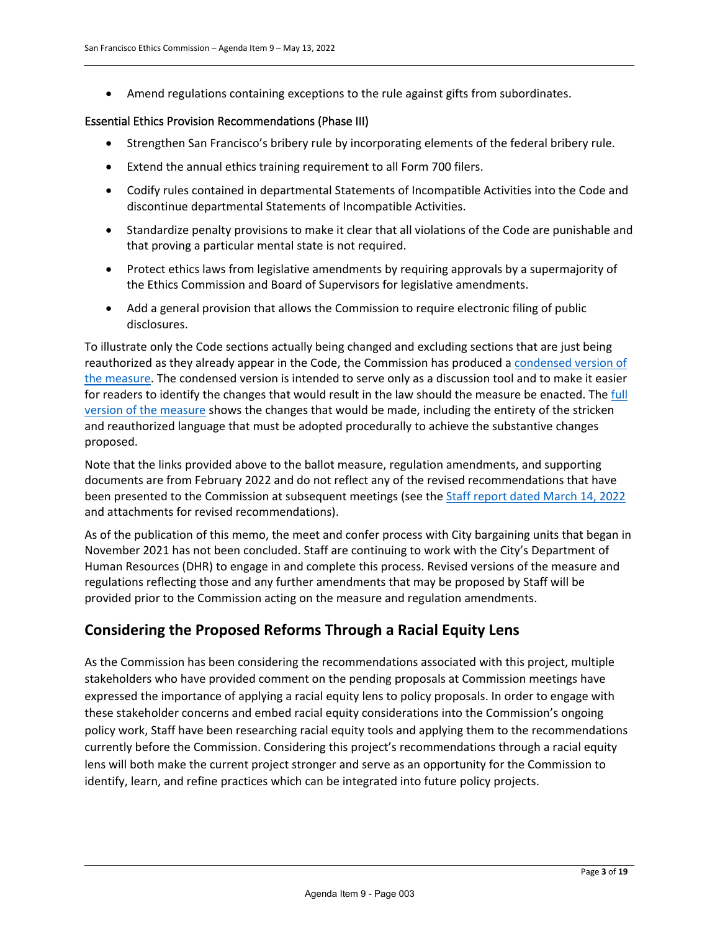• Amend regulations containing exceptions to the rule against gifts from subordinates.

#### Essential Ethics Provision Recommendations (Phase III)

- Strengthen San Francisco's bribery rule by incorporating elements of the federal bribery rule.
- Extend the annual ethics training requirement to all Form 700 filers.
- Codify rules contained in departmental Statements of Incompatible Activities into the Code and discontinue departmental Statements of Incompatible Activities.
- Standardize penalty provisions to make it clear that all violations of the Code are punishable and that proving a particular mental state is not required.
- Protect ethics laws from legislative amendments by requiring approvals by a supermajority of the Ethics Commission and Board of Supervisors for legislative amendments.
- Add a general provision that allows the Commission to require electronic filing of public disclosures.

To illustrate only the Code sections actually being changed and excluding sections that are just being reauthorized as they already appear in the Code, the Commission has produced [a condensed version of](https://sfethics.org/wp-content/uploads/2022/02/CONDENSED-Draft-Ordinance.pdf)  [the measure.](https://sfethics.org/wp-content/uploads/2022/02/CONDENSED-Draft-Ordinance.pdf) The condensed version is intended to serve only as a discussion tool and to make it easier for readers to identify the changes that would result in the law should the measure be enacted. The full [version of the measure](https://sfethics.org/wp-content/uploads/2022/02/Draft-Ordinance-2.14.22.pdf) shows the changes that would be made, including the entirety of the stricken and reauthorized language that must be adopted procedurally to achieve the substantive changes proposed.

Note that the links provided above to the ballot measure, regulation amendments, and supporting documents are from February 2022 and do not reflect any of the revised recommendations that have been presented to the Commission at subsequent meetings (see the **Staff report dated March 14, 2022** and attachments for revised recommendations).

As of the publication of this memo, the meet and confer process with City bargaining units that began in November 2021 has not been concluded. Staff are continuing to work with the City's Department of Human Resources (DHR) to engage in and complete this process. Revised versions of the measure and regulations reflecting those and any further amendments that may be proposed by Staff will be provided prior to the Commission acting on the measure and regulation amendments.

# **Considering the Proposed Reforms Through a Racial Equity Lens**

As the Commission has been considering the recommendations associated with this project, multiple stakeholders who have provided comment on the pending proposals at Commission meetings have expressed the importance of applying a racial equity lens to policy proposals. In order to engage with these stakeholder concerns and embed racial equity considerations into the Commission's ongoing policy work, Staff have been researching racial equity tools and applying them to the recommendations currently before the Commission. Considering this project's recommendations through a racial equity lens will both make the current project stronger and serve as an opportunity for the Commission to identify, learn, and refine practices which can be integrated into future policy projects.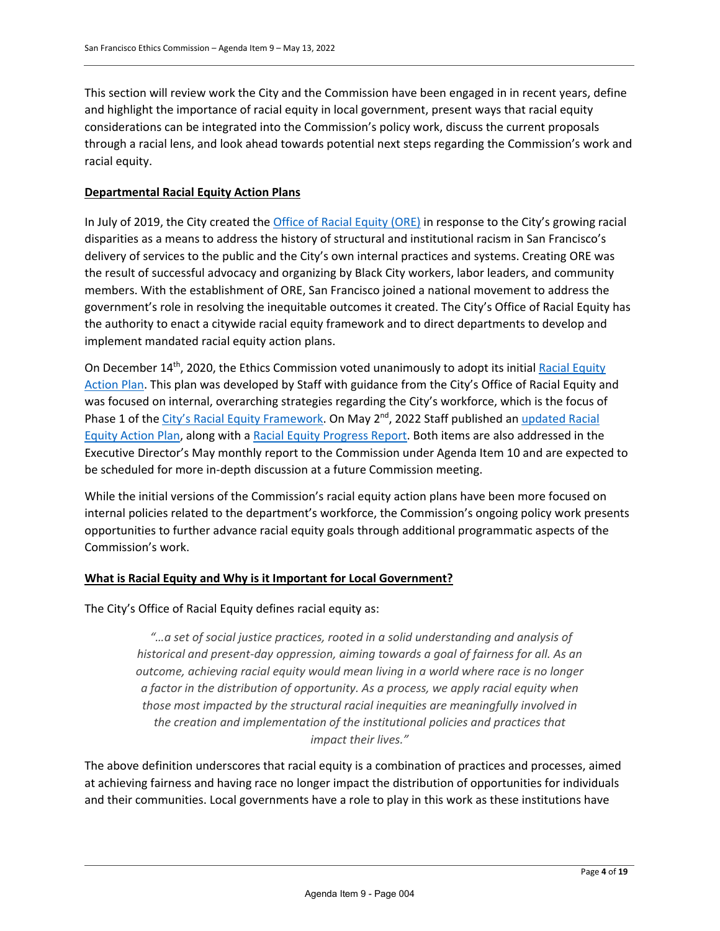This section will review work the City and the Commission have been engaged in in recent years, define and highlight the importance of racial equity in local government, present ways that racial equity considerations can be integrated into the Commission's policy work, discuss the current proposals through a racial lens, and look ahead towards potential next steps regarding the Commission's work and racial equity.

#### **Departmental Racial Equity Action Plans**

In July of 2019, the City created the [Office of Racial Equity \(ORE\)](https://www.racialequitysf.org/) in response to the City's growing racial disparities as a means to address the history of structural and institutional racism in San Francisco's delivery of services to the public and the City's own internal practices and systems. Creating ORE was the result of successful advocacy and organizing by Black City workers, labor leaders, and community members. With the establishment of ORE, San Francisco joined a national movement to address the government's role in resolving the inequitable outcomes it created. The City's Office of Racial Equity has the authority to enact a citywide racial equity framework and to direct departments to develop and implement mandated racial equity action plans.

On December 14<sup>th</sup>, 2020, the Ethics Commission voted unanimously to adopt its initial Racial Equity [Action Plan.](https://sfethics.org/wp-content/uploads/2020/12/Agenda-Item-6-combined.pdf) This plan was developed by Staff with guidance from the City's Office of Racial Equity and was focused on internal, overarching strategies regarding the City's workforce, which is the focus of Phase 1 of the [City's Racial Equity Framework.](https://static1.squarespace.com/static/5ed18d943016244d3e57260c/t/5efbe89e247faf024e6fdaca/1593567402561/ORE+SF+Citywide+Racial+Equity+Framework+Phase+1.pdf) On May 2<sup>nd</sup>, 2022 Staff published an updated Racial [Equity Action Plan,](https://sfethics.org/wp-content/uploads/2022/05/ETH-Racial-Equity-Action-Plan_V3-May-2-2022-FINAL.pdf) along with a [Racial Equity Progress Report.](https://sfethics.org/wp-content/uploads/2022/05/Ethics-Commission-Racial-Equity-Progress-Report-Submission-May-2-2022.pdf) Both items are also addressed in the Executive Director's May monthly report to the Commission under Agenda Item 10 and are expected to be scheduled for more in-depth discussion at a future Commission meeting.

While the initial versions of the Commission's racial equity action plans have been more focused on internal policies related to the department's workforce, the Commission's ongoing policy work presents opportunities to further advance racial equity goals through additional programmatic aspects of the Commission's work.

#### **What is Racial Equity and Why is it Important for Local Government?**

The City's Office of Racial Equity defines racial equity as:

*"…a set of social justice practices, rooted in a solid understanding and analysis of historical and present-day oppression, aiming towards a goal of fairness for all. As an outcome, achieving racial equity would mean living in a world where race is no longer a factor in the distribution of opportunity. As a process, we apply racial equity when those most impacted by the structural racial inequities are meaningfully involved in the creation and implementation of the institutional policies and practices that impact their lives."* 

The above definition underscores that racial equity is a combination of practices and processes, aimed at achieving fairness and having race no longer impact the distribution of opportunities for individuals and their communities. Local governments have a role to play in this work as these institutions have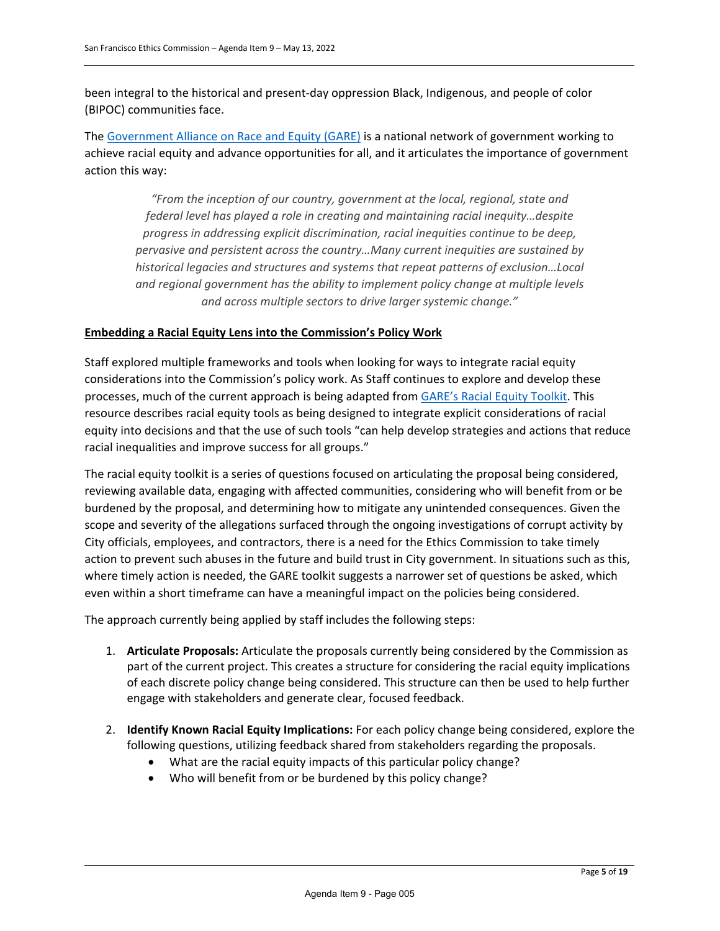been integral to the historical and present-day oppression Black, Indigenous, and people of color (BIPOC) communities face.

The [Government Alliance on Race and Equity \(GARE\)](https://www.racialequityalliance.org/about/our-approach/government/) is a national network of government working to achieve racial equity and advance opportunities for all, and it articulates the importance of government action this way:

*"From the inception of our country, government at the local, regional, state and federal level has played a role in creating and maintaining racial inequity…despite progress in addressing explicit discrimination, racial inequities continue to be deep, pervasive and persistent across the country…Many current inequities are sustained by historical legacies and structures and systems that repeat patterns of exclusion…Local and regional government has the ability to implement policy change at multiple levels and across multiple sectors to drive larger systemic change."* 

#### **Embedding a Racial Equity Lens into the Commission's Policy Work**

Staff explored multiple frameworks and tools when looking for ways to integrate racial equity considerations into the Commission's policy work. As Staff continues to explore and develop these processes, much of the current approach is being adapted from [GARE's Racial Equity Toolkit.](https://www.racialequityalliance.org/wp-content/uploads/2015/10/GARE-Racial_Equity_Toolkit.pdf) This resource describes racial equity tools as being designed to integrate explicit considerations of racial equity into decisions and that the use of such tools "can help develop strategies and actions that reduce racial inequalities and improve success for all groups."

The racial equity toolkit is a series of questions focused on articulating the proposal being considered, reviewing available data, engaging with affected communities, considering who will benefit from or be burdened by the proposal, and determining how to mitigate any unintended consequences. Given the scope and severity of the allegations surfaced through the ongoing investigations of corrupt activity by City officials, employees, and contractors, there is a need for the Ethics Commission to take timely action to prevent such abuses in the future and build trust in City government. In situations such as this, where timely action is needed, the GARE toolkit suggests a narrower set of questions be asked, which even within a short timeframe can have a meaningful impact on the policies being considered.

The approach currently being applied by staff includes the following steps:

- 1. **Articulate Proposals:** Articulate the proposals currently being considered by the Commission as part of the current project. This creates a structure for considering the racial equity implications of each discrete policy change being considered. This structure can then be used to help further engage with stakeholders and generate clear, focused feedback.
- 2. **Identify Known Racial Equity Implications:** For each policy change being considered, explore the following questions, utilizing feedback shared from stakeholders regarding the proposals.
	- What are the racial equity impacts of this particular policy change?
	- Who will benefit from or be burdened by this policy change?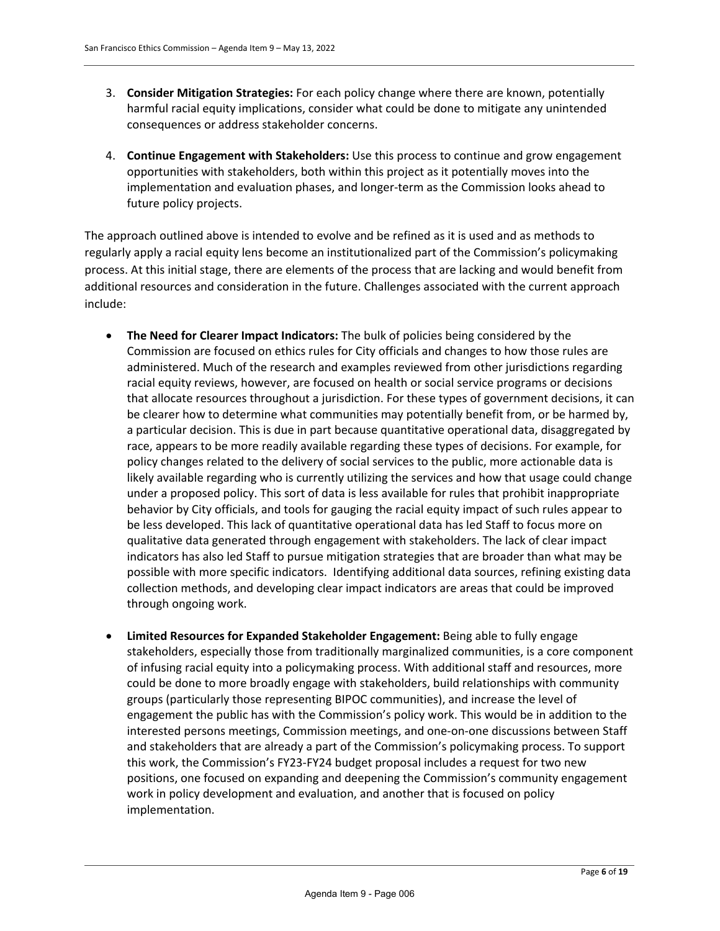- 3. **Consider Mitigation Strategies:** For each policy change where there are known, potentially harmful racial equity implications, consider what could be done to mitigate any unintended consequences or address stakeholder concerns.
- 4. **Continue Engagement with Stakeholders:** Use this process to continue and grow engagement opportunities with stakeholders, both within this project as it potentially moves into the implementation and evaluation phases, and longer-term as the Commission looks ahead to future policy projects.

The approach outlined above is intended to evolve and be refined as it is used and as methods to regularly apply a racial equity lens become an institutionalized part of the Commission's policymaking process. At this initial stage, there are elements of the process that are lacking and would benefit from additional resources and consideration in the future. Challenges associated with the current approach include:

- **The Need for Clearer Impact Indicators:** The bulk of policies being considered by the Commission are focused on ethics rules for City officials and changes to how those rules are administered. Much of the research and examples reviewed from other jurisdictions regarding racial equity reviews, however, are focused on health or social service programs or decisions that allocate resources throughout a jurisdiction. For these types of government decisions, it can be clearer how to determine what communities may potentially benefit from, or be harmed by, a particular decision. This is due in part because quantitative operational data, disaggregated by race, appears to be more readily available regarding these types of decisions. For example, for policy changes related to the delivery of social services to the public, more actionable data is likely available regarding who is currently utilizing the services and how that usage could change under a proposed policy. This sort of data is less available for rules that prohibit inappropriate behavior by City officials, and tools for gauging the racial equity impact of such rules appear to be less developed. This lack of quantitative operational data has led Staff to focus more on qualitative data generated through engagement with stakeholders. The lack of clear impact indicators has also led Staff to pursue mitigation strategies that are broader than what may be possible with more specific indicators. Identifying additional data sources, refining existing data collection methods, and developing clear impact indicators are areas that could be improved through ongoing work.
- **Limited Resources for Expanded Stakeholder Engagement:** Being able to fully engage stakeholders, especially those from traditionally marginalized communities, is a core component of infusing racial equity into a policymaking process. With additional staff and resources, more could be done to more broadly engage with stakeholders, build relationships with community groups (particularly those representing BIPOC communities), and increase the level of engagement the public has with the Commission's policy work. This would be in addition to the interested persons meetings, Commission meetings, and one-on-one discussions between Staff and stakeholders that are already a part of the Commission's policymaking process. To support this work, the Commission's FY23-FY24 budget proposal includes a request for two new positions, one focused on expanding and deepening the Commission's community engagement work in policy development and evaluation, and another that is focused on policy implementation.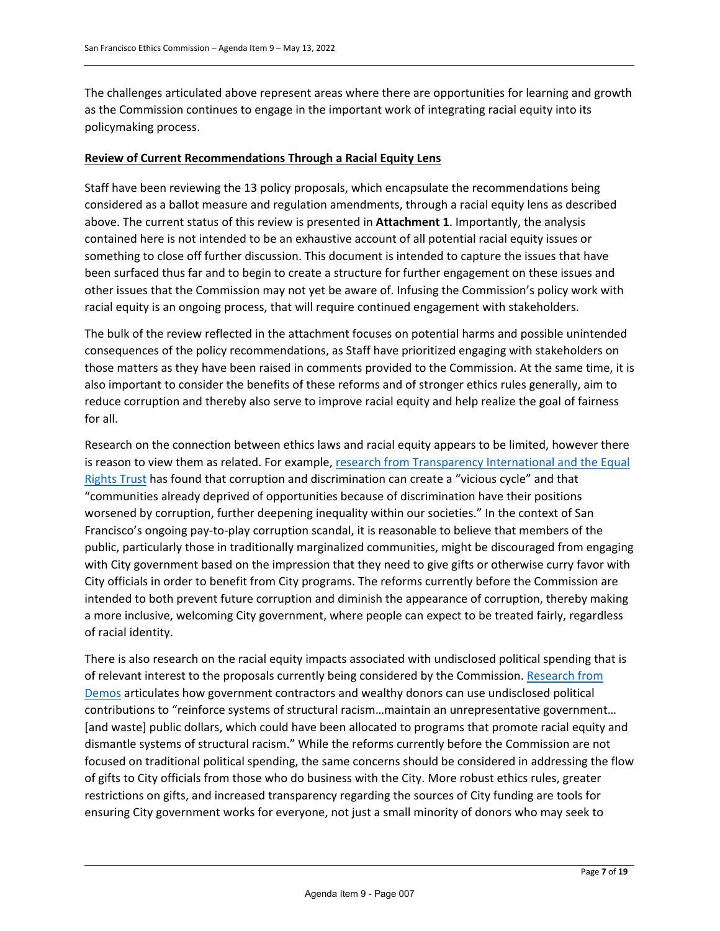The challenges articulated above represent areas where there are opportunities for learning and growth as the Commission continues to engage in the important work of integrating racial equity into its policymaking process.

#### **Review of Current Recommendations Through a Racial Equity Lens**

Staff have been reviewing the 13 policy proposals, which encapsulate the recommendations being considered as a ballot measure and regulation amendments, through a racial equity lens as described above. The current status of this review is presented in **Attachment 1**. Importantly, the analysis contained here is not intended to be an exhaustive account of all potential racial equity issues or something to close off further discussion. This document is intended to capture the issues that have been surfaced thus far and to begin to create a structure for further engagement on these issues and other issues that the Commission may not yet be aware of. Infusing the Commission's policy work with racial equity is an ongoing process, that will require continued engagement with stakeholders.

The bulk of the review reflected in the attachment focuses on potential harms and possible unintended consequences of the policy recommendations, as Staff have prioritized engaging with stakeholders on those matters as they have been raised in comments provided to the Commission. At the same time, it is also important to consider the benefits of these reforms and of stronger ethics rules generally, aim to reduce corruption and thereby also serve to improve racial equity and help realize the goal of fairness for all.

Research on the connection between ethics laws and racial equity appears to be limited, however there is reason to view them as related. For example[, research from Transparency International and the Equal](https://www.transparency.org/en/news/double-harm-corruption-discrimination-sdgs-leave-no-one-behind) [Rights Trust](https://www.transparency.org/en/news/double-harm-corruption-discrimination-sdgs-leave-no-one-behind) has found that corruption and discrimination can create a "vicious cycle" and that "communities already deprived of opportunities because of discrimination have their positions worsened by corruption, further deepening inequality within our societies." In the context of San Francisco's ongoing pay-to-play corruption scandal, it is reasonable to believe that members of the public, particularly those in traditionally marginalized communities, might be discouraged from engaging with City government based on the impression that they need to give gifts or otherwise curry favor with City officials in order to benefit from City programs. The reforms currently before the Commission are intended to both prevent future corruption and diminish the appearance of corruption, thereby making a more inclusive, welcoming City government, where people can expect to be treated fairly, regardless of racial identity.

There is also research on the racial equity impacts associated with undisclosed political spending that is of relevant interest to the proposals currently being considered by the Commission. [Research from](https://www.demos.org/policy-briefs/racial-equity-impact-secret-political-spending-government-contractors)  [Demos](https://www.demos.org/policy-briefs/racial-equity-impact-secret-political-spending-government-contractors) articulates how government contractors and wealthy donors can use undisclosed political contributions to "reinforce systems of structural racism…maintain an unrepresentative government… [and waste] public dollars, which could have been allocated to programs that promote racial equity and dismantle systems of structural racism." While the reforms currently before the Commission are not focused on traditional political spending, the same concerns should be considered in addressing the flow of gifts to City officials from those who do business with the City. More robust ethics rules, greater restrictions on gifts, and increased transparency regarding the sources of City funding are tools for ensuring City government works for everyone, not just a small minority of donors who may seek to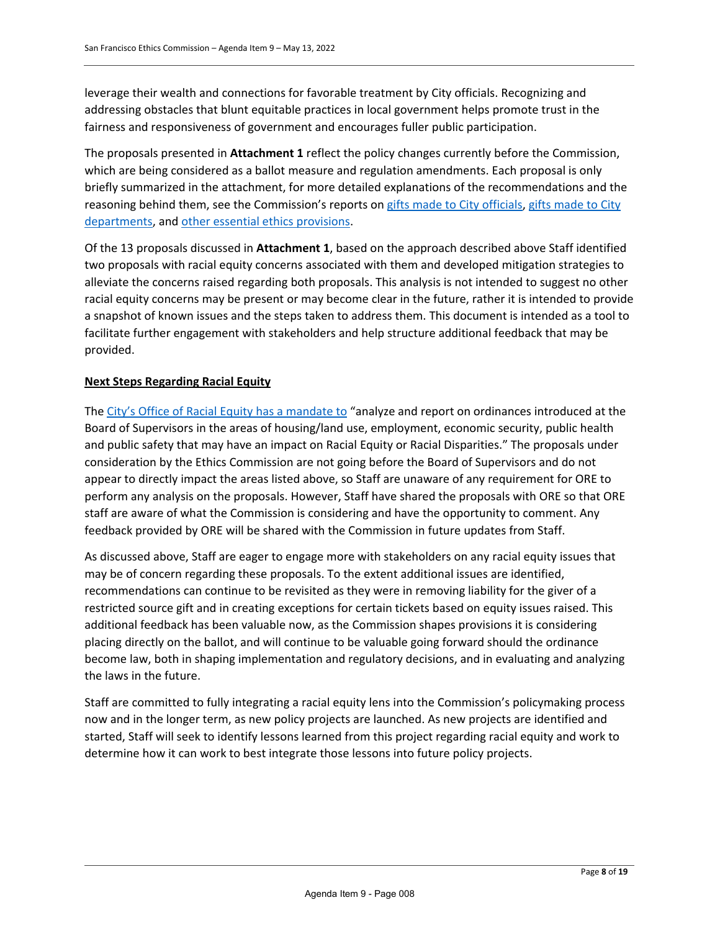leverage their wealth and connections for favorable treatment by City officials. Recognizing and addressing obstacles that blunt equitable practices in local government helps promote trust in the fairness and responsiveness of government and encourages fuller public participation.

The proposals presented in **Attachment 1** reflect the policy changes currently before the Commission, which are being considered as a ballot measure and regulation amendments. Each proposal is only briefly summarized in the attachment, for more detailed explanations of the recommendations and the reasoning behind them, see the Commission's reports on [gifts made to City officials,](https://sfethics.org/ethics/2021/08/report-on-gift-laws-gifts-to-individuals-executive-summary.html) [gifts made to City](https://sfethics.org/ethics/2021/09/gifts-to-city-departments-from-restricted-sources-lack-sufficient-public-transparency-and-create-opportunities-for-undue-influence.html)  [departments,](https://sfethics.org/ethics/2021/09/gifts-to-city-departments-from-restricted-sources-lack-sufficient-public-transparency-and-create-opportunities-for-undue-influence.html) and [other essential ethics provisions.](https://sfethics.org/ethics/2021/12/report-on-strengthening-essential-ethics-provisions-executive-summary.html)

Of the 13 proposals discussed in **Attachment 1**, based on the approach described above Staff identified two proposals with racial equity concerns associated with them and developed mitigation strategies to alleviate the concerns raised regarding both proposals. This analysis is not intended to suggest no other racial equity concerns may be present or may become clear in the future, rather it is intended to provide a snapshot of known issues and the steps taken to address them. This document is intended as a tool to facilitate further engagement with stakeholders and help structure additional feedback that may be provided.

#### **Next Steps Regarding Racial Equity**

The [City's Office of Racial Equity has a mandate to "](https://sfgov.legistar.com/View.ashx?M=F&ID=7586870&GUID=9E0222B9-7A4D-4082-8CCE-3F397520FC82)analyze and report on ordinances introduced at the Board of Supervisors in the areas of housing/land use, employment, economic security, public health and public safety that may have an impact on Racial Equity or Racial Disparities." The proposals under consideration by the Ethics Commission are not going before the Board of Supervisors and do not appear to directly impact the areas listed above, so Staff are unaware of any requirement for ORE to perform any analysis on the proposals. However, Staff have shared the proposals with ORE so that ORE staff are aware of what the Commission is considering and have the opportunity to comment. Any feedback provided by ORE will be shared with the Commission in future updates from Staff.

As discussed above, Staff are eager to engage more with stakeholders on any racial equity issues that may be of concern regarding these proposals. To the extent additional issues are identified, recommendations can continue to be revisited as they were in removing liability for the giver of a restricted source gift and in creating exceptions for certain tickets based on equity issues raised. This additional feedback has been valuable now, as the Commission shapes provisions it is considering placing directly on the ballot, and will continue to be valuable going forward should the ordinance become law, both in shaping implementation and regulatory decisions, and in evaluating and analyzing the laws in the future.

Staff are committed to fully integrating a racial equity lens into the Commission's policymaking process now and in the longer term, as new policy projects are launched. As new projects are identified and started, Staff will seek to identify lessons learned from this project regarding racial equity and work to determine how it can work to best integrate those lessons into future policy projects.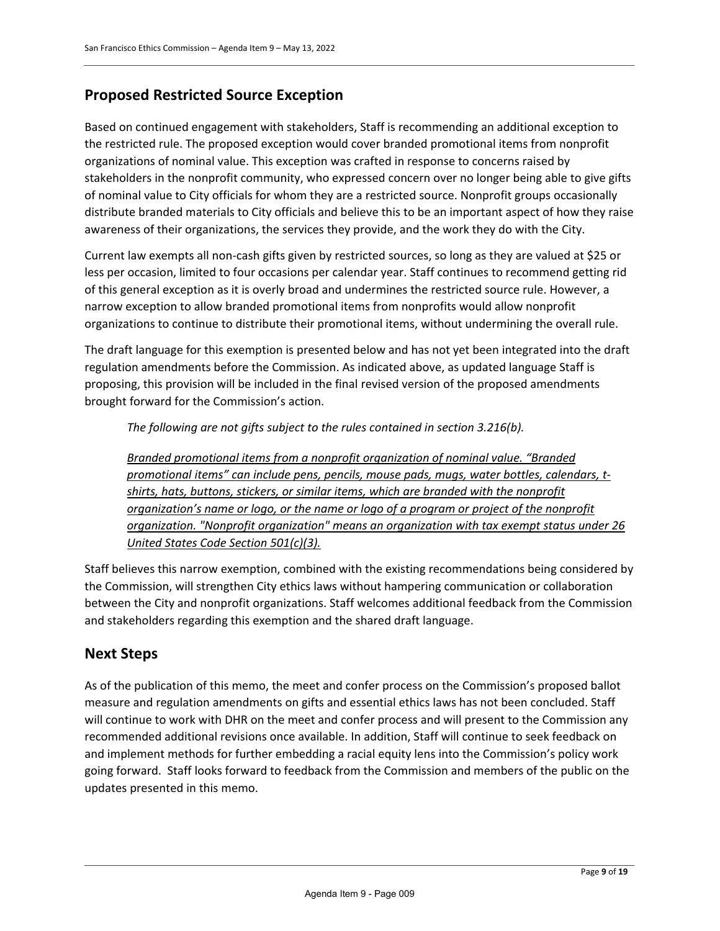# **Proposed Restricted Source Exception**

Based on continued engagement with stakeholders, Staff is recommending an additional exception to the restricted rule. The proposed exception would cover branded promotional items from nonprofit organizations of nominal value. This exception was crafted in response to concerns raised by stakeholders in the nonprofit community, who expressed concern over no longer being able to give gifts of nominal value to City officials for whom they are a restricted source. Nonprofit groups occasionally distribute branded materials to City officials and believe this to be an important aspect of how they raise awareness of their organizations, the services they provide, and the work they do with the City.

Current law exempts all non-cash gifts given by restricted sources, so long as they are valued at \$25 or less per occasion, limited to four occasions per calendar year. Staff continues to recommend getting rid of this general exception as it is overly broad and undermines the restricted source rule. However, a narrow exception to allow branded promotional items from nonprofits would allow nonprofit organizations to continue to distribute their promotional items, without undermining the overall rule.

The draft language for this exemption is presented below and has not yet been integrated into the draft regulation amendments before the Commission. As indicated above, as updated language Staff is proposing, this provision will be included in the final revised version of the proposed amendments brought forward for the Commission's action.

*The following are not gifts subject to the rules contained in section 3.216(b).*

*Branded promotional items from a nonprofit organization of nominal value. "Branded promotional items" can include pens, pencils, mouse pads, mugs, water bottles, calendars, tshirts, hats, buttons, stickers, or similar items, which are branded with the nonprofit organization's name or logo, or the name or logo of a program or project of the nonprofit organization. "Nonprofit organization" means an organization with tax exempt status under 26 United States Code Section 501(c)(3).*

Staff believes this narrow exemption, combined with the existing recommendations being considered by the Commission, will strengthen City ethics laws without hampering communication or collaboration between the City and nonprofit organizations. Staff welcomes additional feedback from the Commission and stakeholders regarding this exemption and the shared draft language.

# **Next Steps**

As of the publication of this memo, the meet and confer process on the Commission's proposed ballot measure and regulation amendments on gifts and essential ethics laws has not been concluded. Staff will continue to work with DHR on the meet and confer process and will present to the Commission any recommended additional revisions once available. In addition, Staff will continue to seek feedback on and implement methods for further embedding a racial equity lens into the Commission's policy work going forward. Staff looks forward to feedback from the Commission and members of the public on the updates presented in this memo.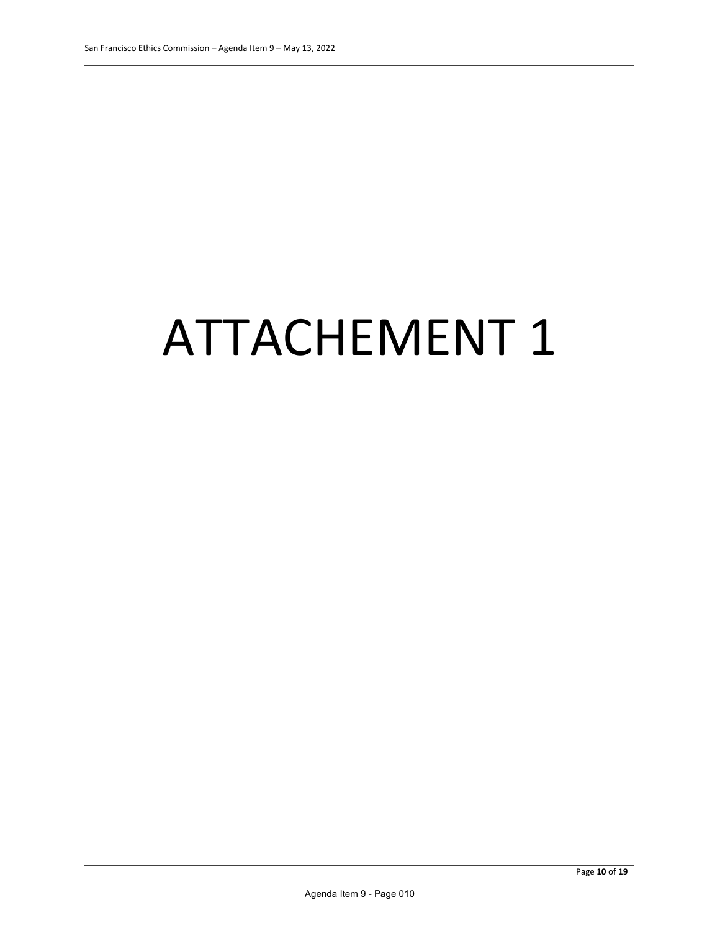# ATTACHEMENT 1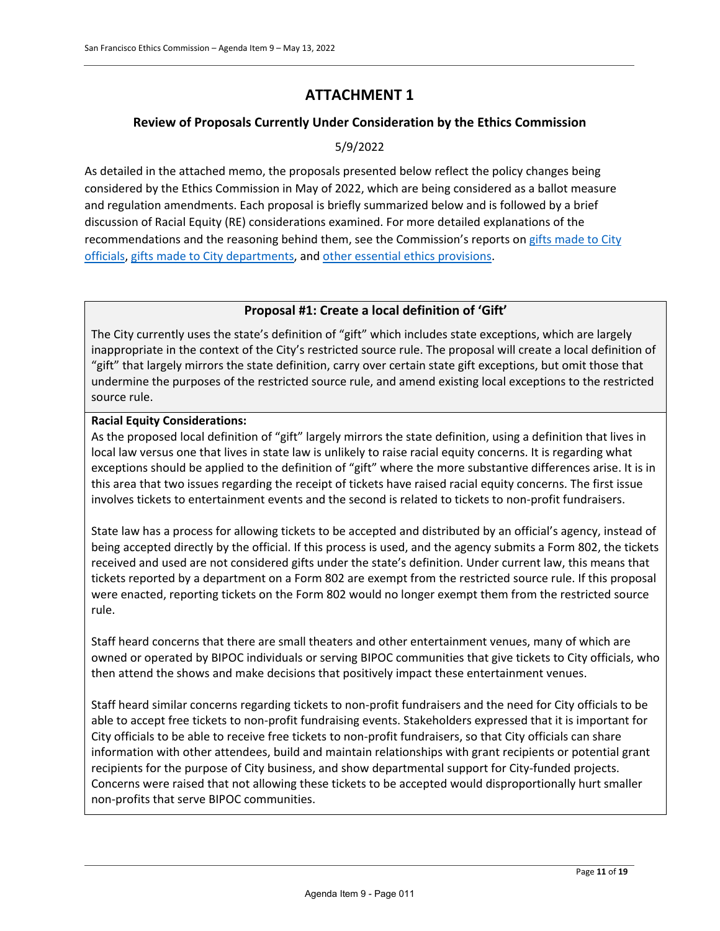# **ATTACHMENT 1**

# **Review of Proposals Currently Under Consideration by the Ethics Commission**

# 5/9/2022

As detailed in the attached memo, the proposals presented below reflect the policy changes being considered by the Ethics Commission in May of 2022, which are being considered as a ballot measure and regulation amendments. Each proposal is briefly summarized below and is followed by a brief discussion of Racial Equity (RE) considerations examined. For more detailed explanations of the recommendations and the reasoning behind them, see the Commission's reports on [gifts made to City](https://sfethics.org/ethics/2021/08/report-on-gift-laws-gifts-to-individuals-executive-summary.html)  [officials,](https://sfethics.org/ethics/2021/08/report-on-gift-laws-gifts-to-individuals-executive-summary.html) [gifts made to City departments,](https://sfethics.org/ethics/2021/09/gifts-to-city-departments-from-restricted-sources-lack-sufficient-public-transparency-and-create-opportunities-for-undue-influence.html) and [other essential ethics provisions.](https://sfethics.org/ethics/2021/12/report-on-strengthening-essential-ethics-provisions-executive-summary.html)

# **Proposal #1: Create a local definition of 'Gift'**

The City currently uses the state's definition of "gift" which includes state exceptions, which are largely inappropriate in the context of the City's restricted source rule. The proposal will create a local definition of "gift" that largely mirrors the state definition, carry over certain state gift exceptions, but omit those that undermine the purposes of the restricted source rule, and amend existing local exceptions to the restricted source rule.

#### **Racial Equity Considerations:**

As the proposed local definition of "gift" largely mirrors the state definition, using a definition that lives in local law versus one that lives in state law is unlikely to raise racial equity concerns. It is regarding what exceptions should be applied to the definition of "gift" where the more substantive differences arise. It is in this area that two issues regarding the receipt of tickets have raised racial equity concerns. The first issue involves tickets to entertainment events and the second is related to tickets to non-profit fundraisers.

State law has a process for allowing tickets to be accepted and distributed by an official's agency, instead of being accepted directly by the official. If this process is used, and the agency submits a Form 802, the tickets received and used are not considered gifts under the state's definition. Under current law, this means that tickets reported by a department on a Form 802 are exempt from the restricted source rule. If this proposal were enacted, reporting tickets on the Form 802 would no longer exempt them from the restricted source rule.

Staff heard concerns that there are small theaters and other entertainment venues, many of which are owned or operated by BIPOC individuals or serving BIPOC communities that give tickets to City officials, who then attend the shows and make decisions that positively impact these entertainment venues.

Staff heard similar concerns regarding tickets to non-profit fundraisers and the need for City officials to be able to accept free tickets to non-profit fundraising events. Stakeholders expressed that it is important for City officials to be able to receive free tickets to non-profit fundraisers, so that City officials can share information with other attendees, build and maintain relationships with grant recipients or potential grant recipients for the purpose of City business, and show departmental support for City-funded projects. Concerns were raised that not allowing these tickets to be accepted would disproportionally hurt smaller non-profits that serve BIPOC communities.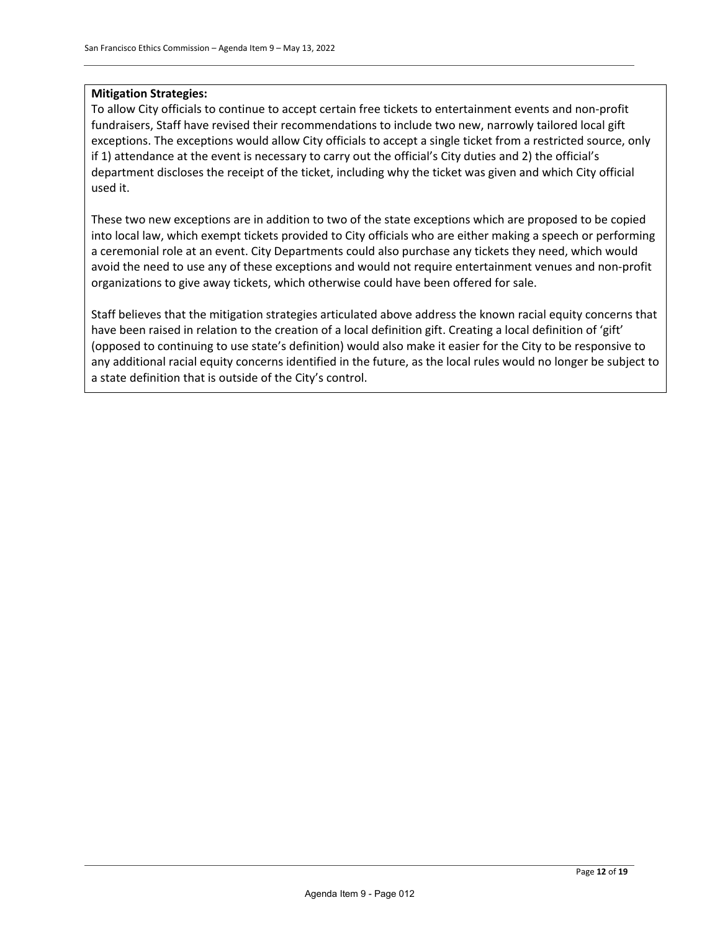#### **Mitigation Strategies:**

To allow City officials to continue to accept certain free tickets to entertainment events and non-profit fundraisers, Staff have revised their recommendations to include two new, narrowly tailored local gift exceptions. The exceptions would allow City officials to accept a single ticket from a restricted source, only if 1) attendance at the event is necessary to carry out the official's City duties and 2) the official's department discloses the receipt of the ticket, including why the ticket was given and which City official used it.

These two new exceptions are in addition to two of the state exceptions which are proposed to be copied into local law, which exempt tickets provided to City officials who are either making a speech or performing a ceremonial role at an event. City Departments could also purchase any tickets they need, which would avoid the need to use any of these exceptions and would not require entertainment venues and non-profit organizations to give away tickets, which otherwise could have been offered for sale.

Staff believes that the mitigation strategies articulated above address the known racial equity concerns that have been raised in relation to the creation of a local definition gift. Creating a local definition of 'gift' (opposed to continuing to use state's definition) would also make it easier for the City to be responsive to any additional racial equity concerns identified in the future, as the local rules would no longer be subject to a state definition that is outside of the City's control.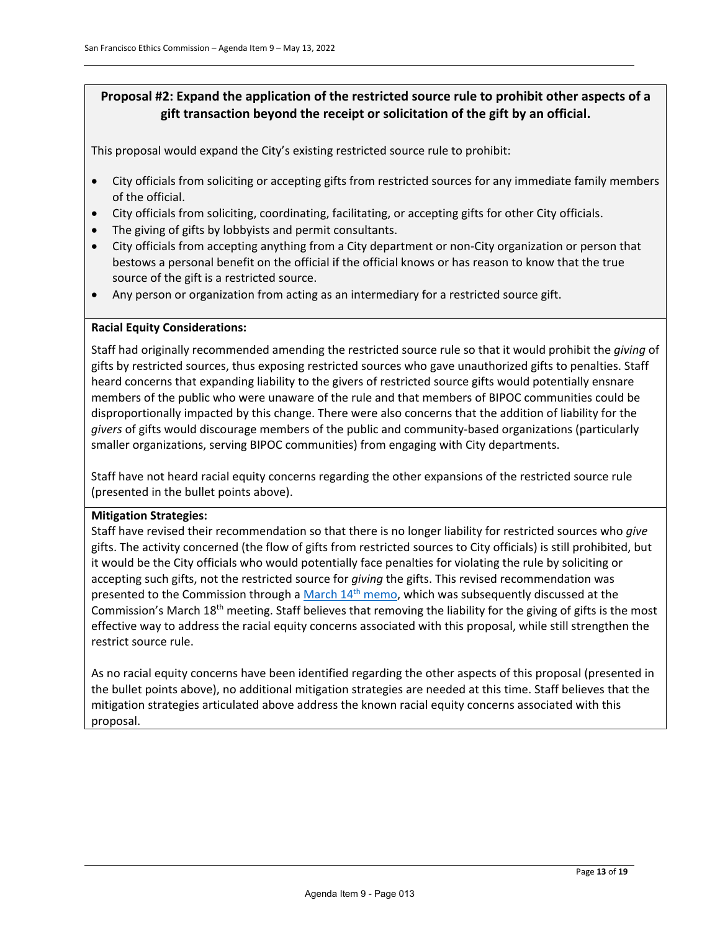# **Proposal #2: Expand the application of the restricted source rule to prohibit other aspects of a gift transaction beyond the receipt or solicitation of the gift by an official.**

This proposal would expand the City's existing restricted source rule to prohibit:

- City officials from soliciting or accepting gifts from restricted sources for any immediate family members of the official.
- City officials from soliciting, coordinating, facilitating, or accepting gifts for other City officials.
- The giving of gifts by lobbyists and permit consultants.
- City officials from accepting anything from a City department or non-City organization or person that bestows a personal benefit on the official if the official knows or has reason to know that the true source of the gift is a restricted source.
- Any person or organization from acting as an intermediary for a restricted source gift.

#### **Racial Equity Considerations:**

Staff had originally recommended amending the restricted source rule so that it would prohibit the *giving* of gifts by restricted sources, thus exposing restricted sources who gave unauthorized gifts to penalties. Staff heard concerns that expanding liability to the givers of restricted source gifts would potentially ensnare members of the public who were unaware of the rule and that members of BIPOC communities could be disproportionally impacted by this change. There were also concerns that the addition of liability for the *givers* of gifts would discourage members of the public and community-based organizations (particularly smaller organizations, serving BIPOC communities) from engaging with City departments.

Staff have not heard racial equity concerns regarding the other expansions of the restricted source rule (presented in the bullet points above).

#### **Mitigation Strategies:**

Staff have revised their recommendation so that there is no longer liability for restricted sources who *give*  gifts. The activity concerned (the flow of gifts from restricted sources to City officials) is still prohibited, but it would be the City officials who would potentially face penalties for violating the rule by soliciting or accepting such gifts, not the restricted source for *giving* the gifts. This revised recommendation was presented to the Commission through a March 14<sup>th</sup> memo, which was subsequently discussed at the Commission's March 18<sup>th</sup> meeting. Staff believes that removing the liability for the giving of gifts is the most effective way to address the racial equity concerns associated with this proposal, while still strengthen the restrict source rule.

As no racial equity concerns have been identified regarding the other aspects of this proposal (presented in the bullet points above), no additional mitigation strategies are needed at this time. Staff believes that the mitigation strategies articulated above address the known racial equity concerns associated with this proposal.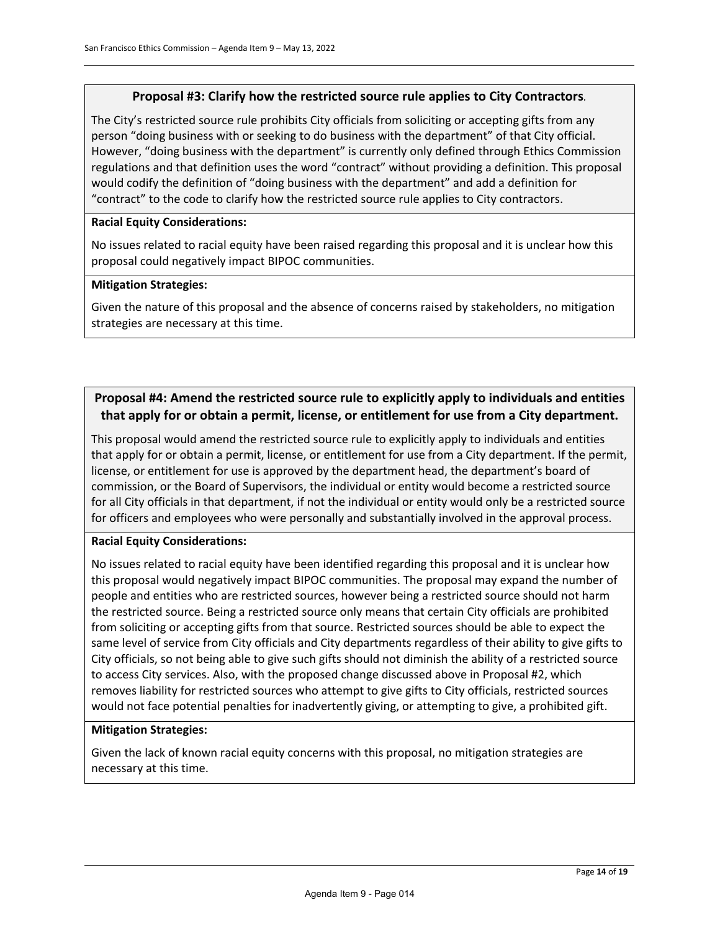#### **Proposal #3: Clarify how the restricted source rule applies to City Contractors***.*

The City's restricted source rule prohibits City officials from soliciting or accepting gifts from any person "doing business with or seeking to do business with the department" of that City official. However, "doing business with the department" is currently only defined through Ethics Commission regulations and that definition uses the word "contract" without providing a definition. This proposal would codify the definition of "doing business with the department" and add a definition for "contract" to the code to clarify how the restricted source rule applies to City contractors.

#### **Racial Equity Considerations:**

No issues related to racial equity have been raised regarding this proposal and it is unclear how this proposal could negatively impact BIPOC communities.

#### **Mitigation Strategies:**

Given the nature of this proposal and the absence of concerns raised by stakeholders, no mitigation strategies are necessary at this time.

# **Proposal #4: Amend the restricted source rule to explicitly apply to individuals and entities that apply for or obtain a permit, license, or entitlement for use from a City department.**

This proposal would amend the restricted source rule to explicitly apply to individuals and entities that apply for or obtain a permit, license, or entitlement for use from a City department. If the permit, license, or entitlement for use is approved by the department head, the department's board of commission, or the Board of Supervisors, the individual or entity would become a restricted source for all City officials in that department, if not the individual or entity would only be a restricted source for officers and employees who were personally and substantially involved in the approval process.

#### **Racial Equity Considerations:**

No issues related to racial equity have been identified regarding this proposal and it is unclear how this proposal would negatively impact BIPOC communities. The proposal may expand the number of people and entities who are restricted sources, however being a restricted source should not harm the restricted source. Being a restricted source only means that certain City officials are prohibited from soliciting or accepting gifts from that source. Restricted sources should be able to expect the same level of service from City officials and City departments regardless of their ability to give gifts to City officials, so not being able to give such gifts should not diminish the ability of a restricted source to access City services. Also, with the proposed change discussed above in Proposal #2, which removes liability for restricted sources who attempt to give gifts to City officials, restricted sources would not face potential penalties for inadvertently giving, or attempting to give, a prohibited gift.

#### **Mitigation Strategies:**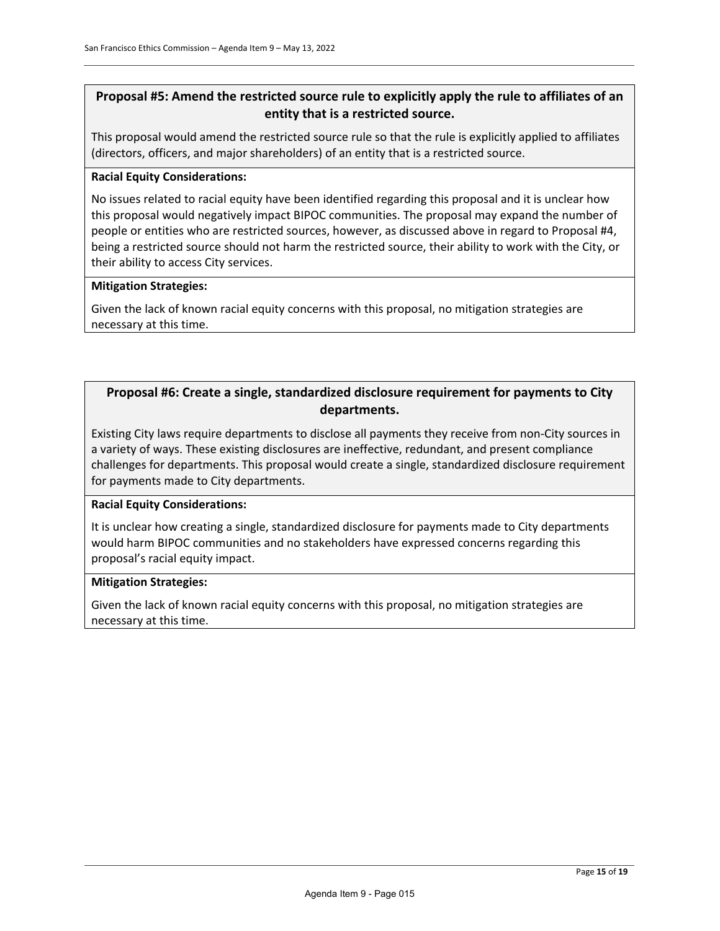# **Proposal #5: Amend the restricted source rule to explicitly apply the rule to affiliates of an entity that is a restricted source.**

This proposal would amend the restricted source rule so that the rule is explicitly applied to affiliates (directors, officers, and major shareholders) of an entity that is a restricted source.

#### **Racial Equity Considerations:**

No issues related to racial equity have been identified regarding this proposal and it is unclear how this proposal would negatively impact BIPOC communities. The proposal may expand the number of people or entities who are restricted sources, however, as discussed above in regard to Proposal #4, being a restricted source should not harm the restricted source, their ability to work with the City, or their ability to access City services.

#### **Mitigation Strategies:**

Given the lack of known racial equity concerns with this proposal, no mitigation strategies are necessary at this time.

# **Proposal #6: Create a single, standardized disclosure requirement for payments to City departments.**

Existing City laws require departments to disclose all payments they receive from non-City sources in a variety of ways. These existing disclosures are ineffective, redundant, and present compliance challenges for departments. This proposal would create a single, standardized disclosure requirement for payments made to City departments.

#### **Racial Equity Considerations:**

It is unclear how creating a single, standardized disclosure for payments made to City departments would harm BIPOC communities and no stakeholders have expressed concerns regarding this proposal's racial equity impact.

#### **Mitigation Strategies:**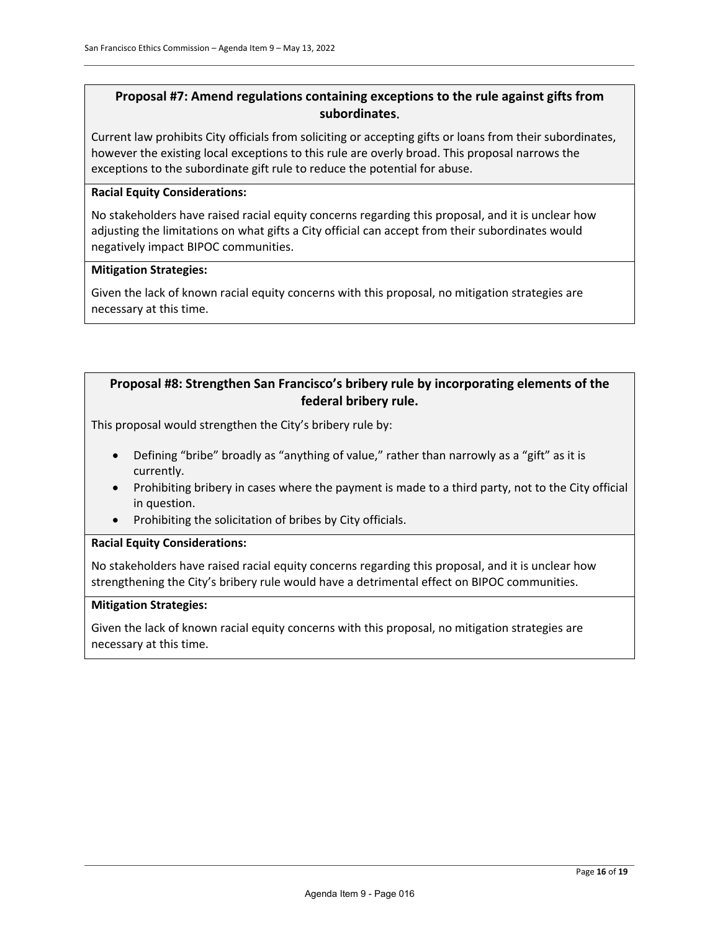# **Proposal #7: Amend regulations containing exceptions to the rule against gifts from subordinates**.

Current law prohibits City officials from soliciting or accepting gifts or loans from their subordinates, however the existing local exceptions to this rule are overly broad. This proposal narrows the exceptions to the subordinate gift rule to reduce the potential for abuse.

#### **Racial Equity Considerations:**

No stakeholders have raised racial equity concerns regarding this proposal, and it is unclear how adjusting the limitations on what gifts a City official can accept from their subordinates would negatively impact BIPOC communities.

#### **Mitigation Strategies:**

Given the lack of known racial equity concerns with this proposal, no mitigation strategies are necessary at this time.

#### **Proposal #8: Strengthen San Francisco's bribery rule by incorporating elements of the federal bribery rule.**

This proposal would strengthen the City's bribery rule by:

- Defining "bribe" broadly as "anything of value," rather than narrowly as a "gift" as it is currently.
- Prohibiting bribery in cases where the payment is made to a third party, not to the City official in question.
- Prohibiting the solicitation of bribes by City officials.

#### **Racial Equity Considerations:**

No stakeholders have raised racial equity concerns regarding this proposal, and it is unclear how strengthening the City's bribery rule would have a detrimental effect on BIPOC communities.

#### **Mitigation Strategies:**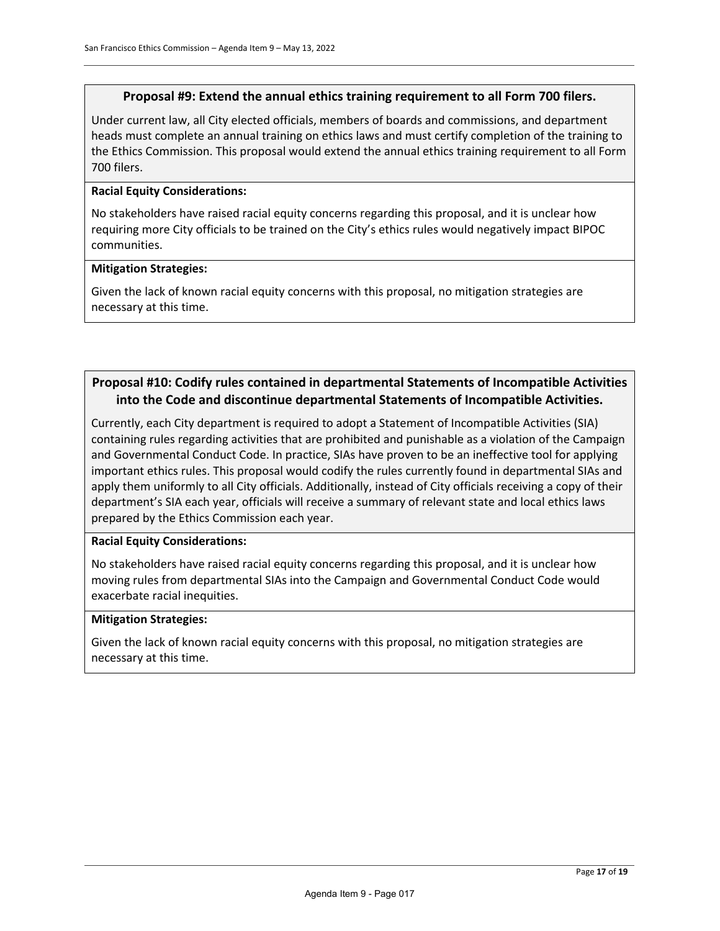#### **Proposal #9: Extend the annual ethics training requirement to all Form 700 filers.**

Under current law, all City elected officials, members of boards and commissions, and department heads must complete an annual training on ethics laws and must certify completion of the training to the Ethics Commission. This proposal would extend the annual ethics training requirement to all Form 700 filers.

#### **Racial Equity Considerations:**

No stakeholders have raised racial equity concerns regarding this proposal, and it is unclear how requiring more City officials to be trained on the City's ethics rules would negatively impact BIPOC communities.

#### **Mitigation Strategies:**

Given the lack of known racial equity concerns with this proposal, no mitigation strategies are necessary at this time.

#### **Proposal #10: Codify rules contained in departmental Statements of Incompatible Activities into the Code and discontinue departmental Statements of Incompatible Activities.**

Currently, each City department is required to adopt a Statement of Incompatible Activities (SIA) containing rules regarding activities that are prohibited and punishable as a violation of the Campaign and Governmental Conduct Code. In practice, SIAs have proven to be an ineffective tool for applying important ethics rules. This proposal would codify the rules currently found in departmental SIAs and apply them uniformly to all City officials. Additionally, instead of City officials receiving a copy of their department's SIA each year, officials will receive a summary of relevant state and local ethics laws prepared by the Ethics Commission each year.

#### **Racial Equity Considerations:**

No stakeholders have raised racial equity concerns regarding this proposal, and it is unclear how moving rules from departmental SIAs into the Campaign and Governmental Conduct Code would exacerbate racial inequities.

#### **Mitigation Strategies:**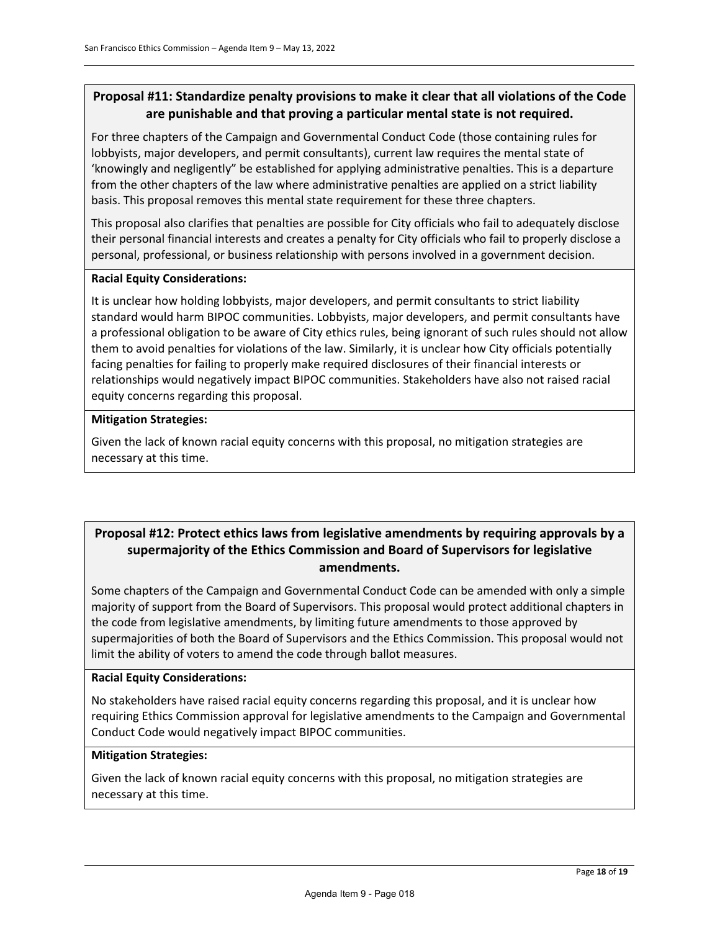# **Proposal #11: Standardize penalty provisions to make it clear that all violations of the Code are punishable and that proving a particular mental state is not required.**

For three chapters of the Campaign and Governmental Conduct Code (those containing rules for lobbyists, major developers, and permit consultants), current law requires the mental state of 'knowingly and negligently" be established for applying administrative penalties. This is a departure from the other chapters of the law where administrative penalties are applied on a strict liability basis. This proposal removes this mental state requirement for these three chapters.

This proposal also clarifies that penalties are possible for City officials who fail to adequately disclose their personal financial interests and creates a penalty for City officials who fail to properly disclose a personal, professional, or business relationship with persons involved in a government decision.

#### **Racial Equity Considerations:**

It is unclear how holding lobbyists, major developers, and permit consultants to strict liability standard would harm BIPOC communities. Lobbyists, major developers, and permit consultants have a professional obligation to be aware of City ethics rules, being ignorant of such rules should not allow them to avoid penalties for violations of the law. Similarly, it is unclear how City officials potentially facing penalties for failing to properly make required disclosures of their financial interests or relationships would negatively impact BIPOC communities. Stakeholders have also not raised racial equity concerns regarding this proposal.

#### **Mitigation Strategies:**

Given the lack of known racial equity concerns with this proposal, no mitigation strategies are necessary at this time.

# **Proposal #12: Protect ethics laws from legislative amendments by requiring approvals by a supermajority of the Ethics Commission and Board of Supervisors for legislative amendments.**

Some chapters of the Campaign and Governmental Conduct Code can be amended with only a simple majority of support from the Board of Supervisors. This proposal would protect additional chapters in the code from legislative amendments, by limiting future amendments to those approved by supermajorities of both the Board of Supervisors and the Ethics Commission. This proposal would not limit the ability of voters to amend the code through ballot measures.

#### **Racial Equity Considerations:**

No stakeholders have raised racial equity concerns regarding this proposal, and it is unclear how requiring Ethics Commission approval for legislative amendments to the Campaign and Governmental Conduct Code would negatively impact BIPOC communities.

#### **Mitigation Strategies:**